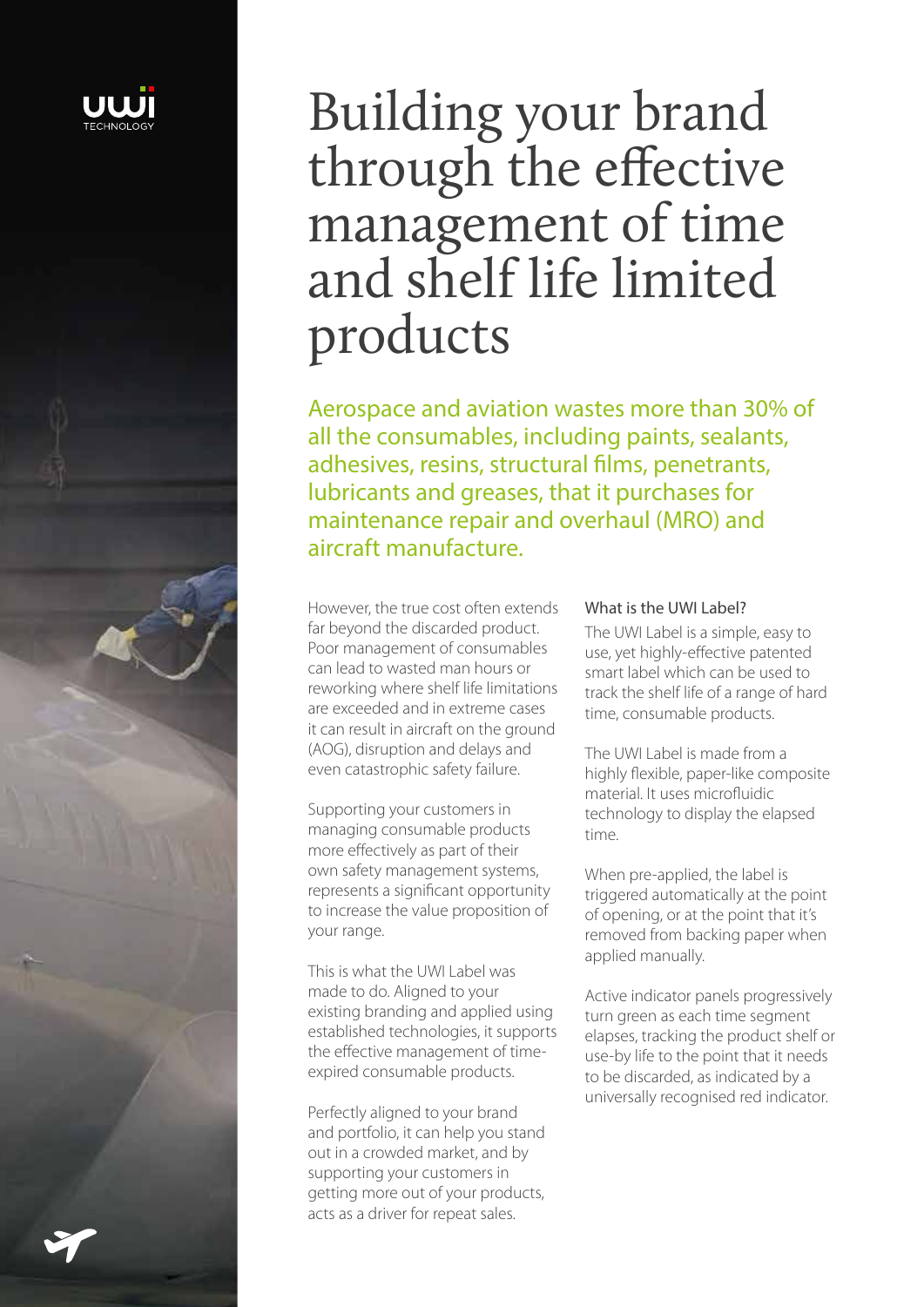

# Building your brand through the effective management of time and shelf life limited products

Aerospace and aviation wastes more than 30% of all the consumables, including paints, sealants, adhesives, resins, structural films, penetrants, lubricants and greases, that it purchases for maintenance repair and overhaul (MRO) and aircraft manufacture.

However, the true cost often extends far beyond the discarded product. Poor management of consumables can lead to wasted man hours or reworking where shelf life limitations are exceeded and in extreme cases it can result in aircraft on the ground (AOG), disruption and delays and even catastrophic safety failure.

Supporting your customers in managing consumable products more effectively as part of their own safety management systems, represents a significant opportunity to increase the value proposition of your range.

This is what the UWI Label was made to do. Aligned to your existing branding and applied using established technologies, it supports the effective management of timeexpired consumable products.

Perfectly aligned to your brand and portfolio, it can help you stand out in a crowded market, and by supporting your customers in getting more out of your products, acts as a driver for repeat sales.

#### What is the UWI Label?

The UWI Label is a simple, easy to use, yet highly-effective patented smart label which can be used to track the shelf life of a range of hard time, consumable products.

The UWI Label is made from a highly flexible, paper-like composite material. It uses microfluidic technology to display the elapsed time.

When pre-applied, the label is triggered automatically at the point of opening, or at the point that it's removed from backing paper when applied manually.

Active indicator panels progressively turn green as each time segment elapses, tracking the product shelf or use-by life to the point that it needs to be discarded, as indicated by a universally recognised red indicator.